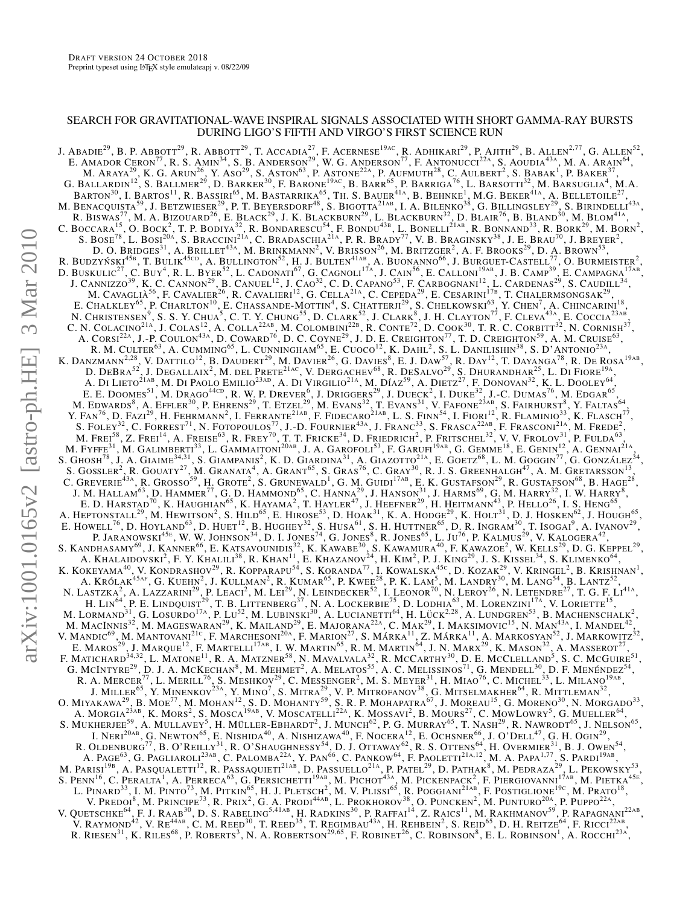# SEARCH FOR GRAVITATIONAL-WAVE INSPIRAL SIGNALS ASSOCIATED WITH SHORT GAMMA-RAY BURSTS DURING LIGO'S FIFTH AND VIRGO'S FIRST SCIENCE RUN

J. ABADIE<sup>29</sup>, B. P. ABBOTT<sup>29</sup>, R. ABBOTT<sup>29</sup>, T. ACCADIA<sup>27</sup>, F. ACERNESE<sup>19ac</sup>, R. ADHIKARI<sup>29</sup>, P. AJITH<sup>29</sup>, B. ALLEN<sup>2,77</sup>, G. ALLEN<sup>52</sup>, E. AMADOR CERON<sup>77</sup>, R. S. AMIN<sup>34</sup>, S. B. ANDERSON<sup>29</sup>, W. G. ANDERSON<sup>77</sup>, F. ANTONUCCI<sup>22A</sup>, S. AOUDIA<sup>43A</sup>, M. A. ARAIN<sup>64</sup>, M. ARAYA<sup>29</sup>, K. G. Arun<sup>26</sup>, Y. Aso<sup>29</sup>, S. Aston<sup>63</sup>, P. Astone<sup>22a</sup>, P. Aufmuth<sup>28</sup>, C. Aulbert<sup>2</sup>, S. Babak<sup>1</sup>, P. Baker<sup>37</sup>, G. BALLARDIN<sup>12</sup>, S. BALLMER<sup>29</sup>, D. BARKER<sup>30</sup>, F. BARONE<sup>19AC</sup>, B. BARR<sup>65</sup>, P. BARRIGA<sup>76</sup>, L. BARSOTTI<sup>32</sup>, M. BARSUGLIA<sup>4</sup>, M.A. BARTON $^{30}$ , I. Bartos<sup>11</sup>, R. Bassiri<sup>65</sup>, M. Bastarrika<sup>65</sup>, Th. S. Bauer<sup>41a</sup>, B. Behnke<sup>1</sup>, M.G. Beker<sup>41a</sup>, A. Belletoile<sup>27</sup>, M. BENACQUISTA<sup>59</sup>, J. BETZWIESER<sup>29</sup>, P. T. BEYERSDORF<sup>48</sup>, S. BIGOTTA<sup>21ab</sup>, I. A. BILENKO<sup>38</sup>, G. BILLINGSLEY<sup>29</sup>, S. BIRINDELLI<sup>43A</sup>, R. BISWAS<sup>77</sup>, M. A. BIZOUARD<sup>26</sup>, E. BLACK<sup>29</sup>, J. K. BLACKBURN<sup>29</sup>, L. BLACKBURN<sup>32</sup>, D. BLAIR<sup>76</sup>, B. BLAND<sup>30</sup>, M. BLOM<sup>41A</sup>, C. BOCCARA<sup>15</sup>, O. BOCK<sup>2</sup>, T. P. BODIYA<sup>32</sup>, R. BONDARESCU<sup>54</sup>, F. BONDU<sup>43b</sup>, L. BONELLI<sup>21Ab</sup>, R. BONNAND<sup>33</sup>, R. BORK<sup>29</sup>, M. BORN<sup>2</sup>, S. BOSE<sup>78</sup>, L. BOSI<sup>20a</sup>, S. Braccini<sup>21a</sup>, C. Bradaschia<sup>21a</sup>, P. R. Brady<sup>77</sup>, V. B. Braginsky<sup>38</sup>, J. E. Brau<sup>70</sup>, J. Breyer<sup>2</sup>, D. O. Bridges $^{31}$ , A. Brillet $^{43\Lambda}$ , M. Brinkmann $^2$ , V. Brisson $^{26}$ , M. Britzger $^2$ , A. F. Brooks $^{29}$ , D. A. Brown $^{53}$ , R. BUDZYŃSKI $^{45\text{B}},$  T. BULIK $^{45\text{CD}}$ , A. BULLINGTON $^{52}$ , H. J. BULTEN $^{41\text{AB}}$ , A. BUONANNO $^{66}$ , J. BURGUET-CASTELL $^{77}_{-2}$ , O. BURMEISTER $^2$ , D. BUSKULIC<sup>27</sup>, C. BUY<sup>4</sup>, R. L. BYER<sup>52</sup>, L. CADONATI<sup>67</sup>, G. CAGNOLI<sup>17A</sup>, J. CAIN<sup>56</sup>, E. CALLONI<sup>19AB</sup>, J. B. CAMP<sup>39</sup>, E. CAMPAGNA<sup>17AB</sup>, J. CANNIZZO<sup>39</sup>, K. C. CANNON<sup>29</sup>, B. CANUEL<sup>12</sup>, J. CAO<sup>32</sup>, C. D. CAPANO<sup>53</sup> M. CAVAGLIÀ<sup>56</sup>, F. CAVALIER<sup>26</sup>, R. CAVALIERI<sup>12</sup>, G. CELLA<sup>21a</sup>, C. CEPEDA<sup>29</sup>, E. CESARINI<sup>17b</sup>, T. CHALERMSONGSAK<sup>29</sup>, E. CHALKLEY<sup>65</sup>, P. CHARLTON<sup>10</sup>, E. CHASSANDE-MOTTIN<sup>4</sup>, S. CHATTERJI<sup>29</sup>, S. CHELKOWSKI<sup>63</sup>, Y. CHEN<sup>7</sup>, A. CHINCARINI<sup>18</sup>, N. CHRISTENSEN<sup>9</sup>, S. S. Y. CHUA<sup>5</sup>, C. T. Y. CHUNG<sup>55</sup>, D. CLARK<sup>52</sup>, J. CLARK<sup>8</sup>, J. H. CLAYTON<sup>77</sup>, F. CLEVA<sup>43A</sup>, E. COCCIA<sup>23AB</sup>, C. N. COLACINO<sup>21A</sup>, J. COLAS<sup>12</sup>, A. COLLA<sup>22AB</sup>, M. COLOMBINI<sup>22B</sup>, R. CONTE<sup>72</sup>, D. COOK<sup>30</sup>, T. R. C. CORBITT<sup>32</sup>, N. CORNISH<sup>37</sup>, A. CORSI<sup>22A</sup>, J.-P. COULON<sup>43A</sup>, D. COWARD<sup>76</sup>, D. C. COYNE<sup>29</sup>, J. D. E. CREIGHTON<sup>77</sup>, T. D. CREIGHTON<sup>59</sup>, A. M. CRUISE<sup>63</sup>, R. M. CULTER<sup>63</sup>, A. CUMMING<sup>65</sup>, L. CUNNINGHAM<sup>65</sup>, E. CUOCO<sup>12</sup>, K. DAHL<sup>2</sup>, S. L. DANILISHIN<sup>38</sup>, S. D'ANTONIO<sup>23A</sup>, K. DANZMANN<sup>2,28</sup>, V. DATTILO<sup>12</sup>, B. DAUDERT<sup>29</sup>, M. DAVIER<sup>26</sup>, G. DAVIES<sup>8</sup>, E. J. DAW<sup>57</sup>, R. DAY<sup>12</sup>, T. DAYANGA<sup>78</sup>, R. DE ROSA<sup>19AB</sup>, D. DEBRA<sup>52</sup>, J. DEGALLAIX<sup>2</sup>, M. DEL PRETE<sup>21ac</sup>, V. DERGACHEV<sup>68</sup>, R. DESALVO<sup>29</sup>, S. DHURANDHAR<sup>25</sup>, L. DI FIORE<sup>19A</sup>, A. DI LIETO $^{21\text{AB}}$ , M. DI PAOLO EMILIO $^{23\text{AD}}$ , A. DI VIRGILIO $^{21\text{A}}$ , M. DÍAZ $^{59}$ , A. DIETZ $^{27}$ , F. DONOVAN $^{32}$ , K. L. DOOLEY $^{64}$ , E. E. DOOMES<sup>51</sup>, M. DRAGO<sup>44CD</sup>, R. W. P. DREVER<sup>6</sup>, J. DRIGGERS<sup>29</sup>, J. DUECK<sup>2</sup>, I. DUKE<sup>32</sup>, J.-C. DUMAS<sup>76</sup>, M. EDGAR<sup>65</sup>, M. EDWARDS $^8$ , A. Effler $^{30}$ , P. Ehrens $^{29}$ , T. Etzel $^{29}$ , M. Evans $^{32}$ , T. Evans $^{31}$ , V. Fafone $^{23$ ab, S. Fairhurst $^8$ , Y. Faltas $^{64}$ , Y. FAN<sup>76</sup>, D. FAZI<sup>29</sup>, H. FEHRMANN<sup>2</sup>, I. FERRANTE<sup>21AB</sup>, F. FIDECARO<sup>21AB</sup>, L. S. FINN<sup>54</sup>, I. FIORI<sup>12</sup>, R. FLAMINIO<sup>33</sup>, K. FLASCH<sup>77</sup>, S. FOLEY<sup>32</sup>, C. FORREST<sup>71</sup>, N. FOTOPOULOS<sup>77</sup>, J.-D. FOURNIER<sup>43A</sup>, J. FRANC<sup>33</sup>, S. FRASCA<sup>22AB</sup>, F. FRASCONI<sup>21A</sup>, M. FREDE<sup>2</sup>, M. FREI<sup>58</sup>, Z. FREI<sup>14</sup>, A. FREISE<sup>63</sup>, R. FREY<sup>70</sup>, T. T. FRICKE<sup>34</sup>, D. FRIEDRICH<sup>2</sup>, P. FRITSCHEL<sup>32</sup>, V. V. FROLOV<sup>31</sup>, P. FULDA<sup>63</sup>, M. FYFFE $^{31}$ , M. GALIMBERTI $^{33}$ , L. GAMMAITONI $^{20AB}$ , J. A. GAROFOLI $^{53}$ , F. GARUFI $^{19AB}$ , G. GEMME $^{18}$ , E. GENIN $^{12}$ , A. GENNAI $^{21A}$ , S. GHOSH<sup>78</sup>, J. A. GIAIME<sup>34,31</sup>, S. GIAMPANIS<sup>2</sup>, K. D. GIARDINA<sup>31</sup>, A. GIAZOTTO<sup>21A</sup>, E. GOETZ<sup>68</sup>, L. M. GOGGIN<sup>77</sup>, G. GONZÁLEZ<sup>34</sup>, S. GOSSLER<sup>2</sup>, R. GOUATY<sup>27</sup>, M. GRANATA<sup>4</sup>, A. GRANT<sup>65</sup>, S. GRAS<sup>76</sup>, C. GRAY<sup>30</sup>, R. J. S. GREENHALGH<sup>47</sup>, A. M. GRETARSSON<sup>13</sup>, C. GREVERIE<sup>43A</sup>, R. GROSSO<sup>59</sup>, H. GROTE<sup>2</sup>, S. GRUNEWALD<sup>1</sup>, G. M. GUIDI<sup>17AB</sup>, E. K. GUSTAFSON<sup>29</sup>, R. GUSTAFSON<sup>68</sup>, B. HAGE<sup>28</sup>, J. M. HALLAM $^{63}$ , D. HAMMER $^{77}$ , G. D. HAMMOND $^{65}$ , C. HANNA $^{29}$ , J. HANSON $^{31}$ , J. HARMS $^{69}$ , G. M. HARRY $^{32}$ , I. W. HARRY $^8$ , E. D. HARSTAD<sup>70</sup>, K. HAUGHIAN<sup>65</sup>, K. HAYAMA<sup>2</sup>, T. HAYLER<sup>47</sup>, J. HEEFNER<sup>29</sup>, H. HEITMANN<sup>43</sup>, P. HELLO<sup>26</sup>, I. S. HENG<sup>65</sup>, A. HEPTONSTALL<sup>29</sup>, M. HEWITSON<sup>2</sup>, S. HILD<sup>65</sup>, E. HIROSE<sup>53</sup>, D. HOAK<sup>31</sup>, K. A. HODGE<sup>29</sup>, K. HOLT<sup>31</sup>, D. J. HOSKEN<sup>62</sup>, J. HOUGH<sup>65</sup>, E. HOWELL<sup>76</sup>, D. HOYLAND<sup>63</sup>, D. HUET<sup>12</sup>, B. HUGHEY<sup>32</sup>, S. HUSA<sup>61</sup>, S. H. HUTTNER<sup>65</sup>, D. R. INGRAM<sup>30</sup>, T. ISOGAI<sup>9</sup>, A. IVANOV<sup>29</sup>, P. JARANOWSKI<sup>45E</sup>, W. W. JOHNSON<sup>34</sup>, D. I. JONES<sup>74</sup>, G. JONES<sup>8</sup>, R. JONES<sup>65</sup>, L. JU<sup>76</sup>, P. KALMUS<sup>29</sup>, V. KALOGERA<sup>42</sup>, S. KANDHASAMY<sup>69</sup>, J. KANNER<sup>66</sup>, E. KATSAVOUNIDIS<sup>32</sup>, K. KAWABE<sup>30</sup>, S. KAWAMURA<sup>40</sup>, F. KAWAZOE<sup>2</sup>, W. KELLS<sup>29</sup>, D. G. KEPPEL<sup>29</sup>, A. KHALAIDOVSKI<sup>2</sup>, F. Y. KHALILI<sup>38</sup>, R. KHAN<sup>11</sup>, E. KHAZANOV<sup>24</sup>, H. KIM<sup>2</sup>, P. J. KING<sup>29</sup>, J. S. KISSEL<sup>34</sup>, S. KLIMENKO<sup>64</sup>, K. KOKEYAMA<sup>40</sup>, V. KONDRASHOV<sup>29</sup>, R. KOPPARAPU<sup>54</sup>, S. KORANDA<sup>77</sup>, I. KOWALSKA<sup>45c</sup>, D. KOZAK<sup>29</sup>, V. KRINGEL<sup>2</sup>, B. KRISHNAN<sup>1</sup>, A. KRÓLAK<sup>45AF</sup>, G. KUEHN<sup>2</sup>, J. KULLMAN<sup>2</sup>, R. KUMAR<sup>65</sup>, P. KWEE<sup>28</sup>, P. K. LAM<sup>5</sup>, M. LANDRY<sup>30</sup>, M. LANG<sup>54</sup>, B. LANTZ<sup>52</sup>, N. LASTZKA<sup>2</sup>, A. LAZZARINI<sup>29</sup>, P. LEACI<sup>2</sup>, M. LEI<sup>29</sup>, N. LEINDECKER<sup>52</sup>, I. LEONOR<sup>70</sup>, N. LEROY<sup>26</sup>, N. LETENDRE<sup>27</sup>, T. G. F. LI<sup>41A</sup>, H. LIN<sup>64</sup>, P. E. LINDQUIST<sup>29</sup>, T. B. LITTENBERG<sup>37</sup>, N. A. LOCKERBIE<sup>75</sup>, D. LODHIA<sup>63</sup>, M. LORENZINI<sup>17A</sup>, V. LORIETTE<sup>15</sup>, M. LORMAND<sup>31</sup>, G. LOSURDO<sup>17a</sup>, P. Lu<sup>52</sup>, M. LUBINSKI<sup>30</sup>, A. LUCIANETTI<sup>64</sup>, H. LÜCK<sup>2,28</sup>, A. LUNDGREN<sup>53</sup>, B. MACHENSCHALK<sup>2</sup>, M. MACINNIS<sup>32</sup>, M. MAGESWARAN<sup>29</sup>, K. MAILAND<sup>29</sup>, E. MAJORANA<sup>22A</sup>, C. MAK<sup>29</sup>, I. MAKSIMOVIC<sup>15</sup>, N. MAN<sup>43A</sup>, I. MANDEL<sup>42</sup>, V. MANDIC<sup>69</sup>, M. MANTOVANI<sup>21c</sup>, F. MARCHESONI<sup>20a</sup>, F. MARION<sup>27</sup>, S. MÁRKA<sup>11</sup>, Z. MÁRKA<sup>11</sup>, A. MARKOSYAN<sup>52</sup>, J. MARKOWITZ<sup>32</sup>, E. MAROS<sup>29</sup>, J. MARQUE<sup>12</sup>, F. MARTELLI<sup>17AB</sup>, I. W. MARTIN<sup>65</sup>, R. M. MARTIN<sup>64</sup>, J. N. MARX<sup>29</sup>, K. MASON<sup>32</sup>, A. MASSEROT<sup>27</sup>, F. MATICHARD<sup>34,32</sup>, L. MATONE<sup>11</sup>, R. A. MATZNER<sup>58</sup>, N. MAVALVALA<sup>32</sup>, R. MCCARTHY<sup>30</sup>, D. E. MCCLELLAND<sup>5</sup>, S. C. MCGUIRE<sup>51</sup>, G. MCINTYRE<sup>29</sup>, D. J. A. MCKECHAN<sup>8</sup>, M. MEHMET<sup>2</sup>, A. MELATOS<sup>55</sup>, A. C. MELISSINOS<sup>71</sup>, G. MENDELL<sup>30</sup>, D. F. MENÉNDEZ<sup>54</sup>, R. A. MERCER<sup>77</sup>, L. MERILL<sup>76</sup>, S. MESHKOV<sup>29</sup>, C. MESSENGER<sup>2</sup>, M. S. MEYER<sup>31</sup>, H. MIAO<sup>76</sup>, C. MICHEL<sup>33</sup>, L. MILANO<sup>19ab</sup>, J. MILLER<sup>65</sup>, Y. MINENKOV<sup>23A</sup>, Y. MINO<sup>7</sup>, S. MITRA<sup>29</sup>, V. P. MITROFANOV<sup>38</sup>, G. MITSELMAKHER<sup>64</sup>, R. MITTLEMAN<sup>32</sup>, O. MIYAKAWA<sup>29</sup>, B. MOE<sup>77</sup>, M. MOHAN<sup>12</sup>, S. D. MOHANTY<sup>59</sup>, S. R. P. MOHAPATRA<sup>67</sup>, J. MOREAU<sup>15</sup>, G. MORENO<sup>30</sup>, N. MORGADO<sup>33</sup>, A. MORGIA<sup>23AB</sup>, K. MORS<sup>2</sup>, S. MOSCA<sup>19AB</sup>, V. MOSCATELLI<sup>22A</sup>, K. MOSSAVI<sup>2</sup>, B. MOURS<sup>27</sup>, C. MOWLOWRY<sup>5</sup>, G. MUELLER<sup>64</sup>, S. MUKHERJEE<sup>59</sup>, A. MULLAVEY<sup>5</sup>, H. MÜLLER-EBHARDT<sup>2</sup>, J. MUNCH<sup>62</sup>, P. G. MURRAY<sup>65</sup>, T. NASH<sup>29</sup>, R. NAWRODT<sup>65</sup>, J. NELSON<sup>65</sup>, I. NERI $^{20{\rm AB}}$ , G. Newton<sup>65</sup>, E. Nishida<sup>40</sup>, A. Nishizawa<sup>40</sup>, F. Nocera<sup>12</sup>, E. Ochsner<sup>66</sup>, J. O'Dell<sup>47</sup>, G. H. Ogin<sup>29</sup>, R. OLDENBURG<sup>77</sup>, B. O'REILLY<sup>31</sup>, R. O'SHAUGHNESSY<sup>54</sup>, D. J. OTTAWAY<sup>62</sup>, R. S. OTTENS<sup>64</sup>, H. OVERMIER $^{31}$ , B. J. OWEN<sup>54</sup>, A. PAGE<sup>63</sup>, G. PAGLIAROLI<sup>23AB</sup>, C. PALOMBA<sup>22A</sup>, Y. PAN<sup>66</sup>, C. PANKOW<sup>64</sup>, F. PAOLETTI<sup>21A,12</sup>, M. A. PAPA<sup>1,77</sup>, S. PARDI<sup>19AB</sup>, M. PARISI<sup>19B</sup>, A. PASQUALETTI<sup>12</sup>, R. PASSAQUIETI<sup>21AB</sup>, D. PASSUELLO<sup>21A</sup>, P. PATEL<sup>29</sup>, D. PATHAK<sup>8</sup>, M. PEDRAZA<sup>29</sup>, L. PEKOWSKY<sup>53</sup>, S. PENN<sup>16</sup>, C. PERALTA<sup>1</sup>, A. PERRECA<sup>63</sup>, G. PERSICHETTI<sup>19AB</sup>, M. PICHOT<sup>43A</sup>, M. PICKENPACK<sup>2</sup>, F. PIERGIOVANNI<sup>17AB</sup>, M. PIETKA<sup>45E</sup>, L. PINARD<sup>33</sup>, I. M. PINTO<sup>73</sup>, M. PITKIN<sup>65</sup>, H. J. PLETSCH<sup>2</sup>, M. V. PLISSI<sup>65</sup>, R. POGGIANI<sup>21ab</sup>, F. POSTIGLIONE<sup>19c</sup>, M. Prato<sup>18</sup>, V. PREDOI<sup>8</sup>, M. PRINCIPE<sup>73</sup>, R. PRIX<sup>2</sup>, G. A. PRODI<sup>44AB</sup>, L. PROKHOROV<sup>38</sup>, O. PUNCKEN<sup>2</sup>, M. PUNTURO<sup>20A</sup>, P. PUPPO<sup>22A</sup>, V. QUETSCHKE<sup>64</sup>, F. J. RAAB<sup>30</sup>, D. S. RABELING<sup>5,41ab</sup>, H. RADKINS<sup>30</sup>, P. RAFFAI<sup>14</sup>, Z. RAICS<sup>11</sup>, M. RAKHMANOV<sup>59</sup>, P. RAPAGNANI<sup>22AB</sup>, V. RAYMOND<sup>42</sup>, V. RE<sup>44AB</sup>, C. M. REED<sup>30</sup>, T. REED<sup>35</sup>, T. REGIMBAU<sup>43A</sup>, H. REHBEIN<sup>2</sup>, S. REID<sup>65</sup>, D. H. REITZE<sup>64</sup>, F. RICCI<sup>22AB</sup>, R. RIESEN $^{31}$ , K. Riles $^{68}$ , P. Roberts $^3$ , N. A. Robertson $^{29,65}$ , F. Robinet $^{26}$ , C. Robinson $^8$ , E. L. Robinson $^1$ , A. Rocchi $^{23\text{A}}$ ,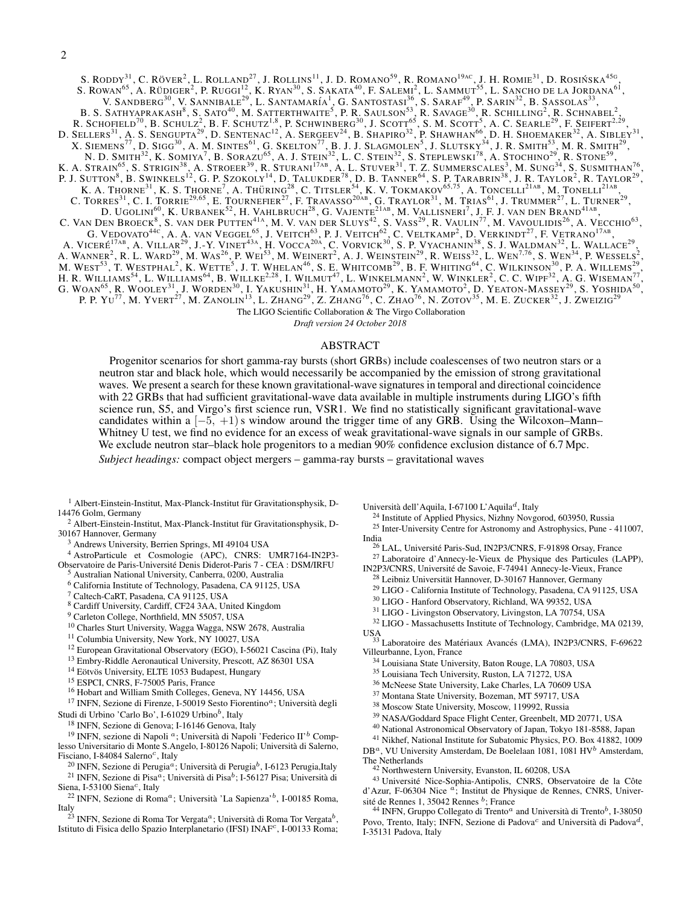S. RODDY $^{31}$ , C. RÖVER<sup>2</sup>, L. ROLLAND<sup>27</sup>, J. ROLLINS<sup>11</sup>, J. D. ROMANO<sup>59</sup>, R. ROMANO<sup>19AC</sup>, J. H. ROMIE<sup>31</sup>, D. ROSIŃSKA<sup>456</sup>, S. ROWAN<sup>65</sup>, A. RÜDIGER<sup>2</sup>, P. RUGGI<sup>12</sup>, K. RYAN<sup>30</sup>, S. SAKATA<sup>40</sup>, F. SALEMI<sup>2</sup>, L. SAMMUT<sup>55</sup>, L. SANCHO DE LA JORDANA<sup>61</sup>, V. SANDBERG<sup>30</sup>, V. SANNIBALE<sup>29</sup>, L. SANTAMARÍA<sup>1</sup>, G. SANTOSTASI<sup>36</sup>, S. SARAF<sup>49</sup>, P. SARIN<sup>32</sup>, B. SASSOLAS<sup>33</sup>, B. S. SATHYAPRAKASH<sup>8</sup>, S. SATO<sup>40</sup>, M. SATTERTHWAITE<sup>5</sup>, P. R. SAULSON<sup>53</sup>, R. SAVAGE<sup>30</sup>, R. SCHILLING<sup>2</sup>, R. SCHNABEL<sup>2</sup>, R. SCHOFIELD<sup>70</sup>, B. SCHULZ<sup>2</sup>, B. F. SCHUTZ<sup>1,8</sup>, P. SCHWINBERG<sup>30</sup>, J. SCOTT<sup>65</sup>, S. M. SCOTT<sup>5</sup>, A. C. SEARLE<sup>29</sup>, F. SEIFERT<sup>2.29</sup>, D. SELLERS<sup>31</sup>, A. S. SENGUPTA<sup>29</sup>, D. SENTENAC<sup>12</sup>, A. SERGEEV<sup>24</sup>, B. SHAPIRO<sup>32</sup>, P. SHAWHAN<sup>66</sup>, D. H. SHOEMAKER<sup>32</sup>, A. SIBLEY<sup>31</sup>, X. SIEMENS<sup>77</sup>, D. SIGG<sup>30</sup>, A. M. SINTES<sup>61</sup>, G. SKELTON<sup>77</sup>, B. J. J. SLAGMOLEN<sup>5</sup>, J. SLUTSKY<sup>34</sup>, J. R. SMITH<sup>53</sup>, M. R. SMITH<sup>29</sup>, N. D. SMITH<sup>32</sup>, K. SOMIYA<sup>7</sup>, B. SORAZU<sup>65</sup>, A. J. STEIN<sup>32</sup>, L. C. STEIN<sup>32</sup>, S. STEPLEWSKI<sup>78</sup>, A. STOCHINO<sup>29</sup>, R. STONE<sup>59</sup>, K. A. STRAIN<sup>65</sup>, S. STRIGIN<sup>38</sup>, A. STROEER<sup>39</sup>, R. STURANI<sup>17AB</sup>, A. L. STUVER<sup>31</sup>, T. Z. SUMMERSCALES<sup>3</sup>, M. SUNG<sup>34</sup>, S. SUSMITHAN<sup>76</sup>, P. J. SUTTON<sup>8</sup>, B. SWINKELS<sup>12</sup>, G. P. SZOKOLY<sup>14</sup>, D. TALUKDER<sup>78</sup>, D. B. TANNER<sup>64</sup>, S. P. TARABRIN<sup>38</sup>, J. R. TAYLOR<sup>2</sup>, R. TAYLOR<sup>29</sup>, K. A. THORNE<sup>31</sup>, K. S. THORNE<sup>7</sup>, A. THÜRING<sup>28</sup>, C. TITSLER<sup>54</sup>, K. V. TOKMAKOV<sup>65,75</sup>, A. TONCELLI<sup>21AB</sup>, M. TONELLI<sup>21AB</sup>, C. TORRES $^{31}$ , C. I. TORRIE $^{29,65}$ , E. Tournefier $^{27}$ , F. Travasso $^{20$ ab, G. Traylor $^{31}$ , M. Trias $^{61}$ , J. Trummer $^{27}$ , L. Turner $^{29}$ , D. UGOLINI $^{60}$ , K. Urbanek $^{52}$ , H. Vahlbruch $^{28}$ , G. Vajente $^{21{\rm AB}},$  M. Vallisneri $^7$ , J. F. J. van den Brand $^{41{\rm AB}},$ C. VAN DEN BROECK<sup>8</sup>, S. VAN DER PUTTEN<sup>41A</sup>, M. V. VAN DER SLUYS<sup>42</sup>, S. VASS<sup>29</sup>, R. VAULIN<sup>77</sup>, M. VAVOULIDIS<sup>26</sup>, A. VECCHIO<sup>63</sup>, G. VEDOVATO<sup>44C</sup>, A. A. VAN VEGGEL<sup>65</sup>, J. VEITCH<sup>63</sup>, P. J. VEITCH<sup>62</sup>, C. VELTKAMP<sup>2</sup>, D. VERKINDT<sup>27</sup>, F. VETRANO<sup>17AB</sup>, A. VICERÉ<sup>17AB</sup>, A. VILLAR<sup>29</sup>, J.-Y. VINET<sup>43A</sup>, H. VOCCA<sup>20A</sup>, C. VORVICK<sup>30</sup>, S. P. VYACHANIN<sup>38</sup>, S. J. WALDMAN<sup>32</sup>, L. WALLACE<sup>29</sup>, A. WANNER<sup>2</sup>, R. L. WARD<sup>29</sup>, M. WAS<sup>26</sup>, P. WEI<sup>53</sup>, M. WEINERT<sup>2</sup>, A. J. WEINSTEIN<sup>29</sup>, R. WEISS<sup>32</sup>, L. WEN<sup>7,76</sup>, S. WEN<sup>34</sup>, P. WESSELS<sup>2</sup>, M. WEST<sup>53</sup>, T. WESTPHAL<sup>2</sup>, K. WETTE<sup>5</sup>, J. T. WHELAN<sup>46</sup>, S. E. WHITCOMB<sup>29</sup> H. R. WILLIAMS<sup>54</sup>, L. WILLIAMS<sup>64</sup>, B. WILLKE<sup>2.28</sup>, I. WILMUT<sup>47</sup>, L. WINKELMANN<sup>2</sup>, W. WINKLER<sup>2</sup>, C. C. WIPF<sup>32</sup>, A. G. WISEMAN<sup>77</sup>, G. WOAN<sup>65</sup>, R. WOOLEY<sup>31</sup>, J. WORDEN<sup>30</sup>, I. YAKUSHIN<sup>31</sup>, H. YAMAMOTO<sup>29</sup>, K. YAMAMOTO<sup>2</sup>, D. YEATON-MASSEY<sup>29</sup>, S. YOSHIDA<sup>50</sup>, P. P. Yu<sup>77</sup>, M. Yvert<sup>27</sup>, M. Zanolin<sup>13</sup>, L. Zhang<sup>29</sup>, Z. Zhang<sup>76</sup>, C. Zhao<sup>76</sup>, N. Zotov<sup>35</sup>, M. E. Zucker<sup>32</sup>, J. Zweizig<sup>29</sup> The LIGO Scientific Collaboration & The Virgo Collaboration

*Draft version 24 October 2018*

# ABSTRACT

Progenitor scenarios for short gamma-ray bursts (short GRBs) include coalescenses of two neutron stars or a neutron star and black hole, which would necessarily be accompanied by the emission of strong gravitational waves. We present a search for these known gravitational-wave signatures in temporal and directional coincidence with 22 GRBs that had sufficient gravitational-wave data available in multiple instruments during LIGO's fifth science run, S5, and Virgo's first science run, VSR1. We find no statistically significant gravitational-wave candidates within a  $[-5, +1)$ s window around the trigger time of any GRB. Using the Wilcoxon–Mann– Whitney U test, we find no evidence for an excess of weak gravitational-wave signals in our sample of GRBs. We exclude neutron star–black hole progenitors to a median  $90\%$  confidence exclusion distance of 6.7 Mpc. *Subject headings:* compact object mergers – gamma-ray bursts – gravitational waves

<sup>1</sup> Albert-Einstein-Institut, Max-Planck-Institut für Gravitationsphysik, D-14476 Golm, Germany

 $2$  Albert-Einstein-Institut, Max-Planck-Institut für Gravitationsphysik, D-30167 Hannover, Germany

<sup>3</sup> Andrews University, Berrien Springs, MI 49104 USA

<sup>4</sup> AstroParticule et Cosmologie (APC), CNRS: UMR7164-IN2P3- Observatoire de Paris-Universite Denis Diderot-Paris 7 - CEA : DSM/IRFU ´ <sup>5</sup> Australian National University, Canberra, 0200, Australia

<sup>6</sup> California Institute of Technology, Pasadena, CA 91125, USA

<sup>7</sup> Caltech-CaRT, Pasadena, CA 91125, USA

<sup>8</sup> Cardiff University, Cardiff, CF24 3AA, United Kingdom

<sup>9</sup> Carleton College, Northfield, MN 55057, USA

<sup>10</sup> Charles Sturt University, Wagga Wagga, NSW 2678, Australia

<sup>11</sup> Columbia University, New York, NY 10027, USA

<sup>12</sup> European Gravitational Observatory (EGO), I-56021 Cascina (Pi), Italy

<sup>13</sup> Embry-Riddle Aeronautical University, Prescott, AZ 86301 USA

<sup>14</sup> Eötvös University, ELTE 1053 Budapest, Hungary

<sup>15</sup> ESPCI, CNRS, F-75005 Paris, France

<sup>16</sup> Hobart and William Smith Colleges, Geneva, NY 14456, USA

 $17$  INFN, Sezione di Firenze, I-50019 Sesto Fiorentino<sup>a</sup>; Università degli Studi di Urbino 'Carlo Bo', I-61029 Urbino<sup>b</sup>, Italy

<sup>18</sup> INFN, Sezione di Genova; I-16146 Genova, Italy

<sup>19</sup> INFN, sezione di Napoli<sup>a</sup>; Università di Napoli 'Federico II'<sup>b</sup> Complesso Universitario di Monte S.Angelo, I-80126 Napoli; Universita di Salerno, ` Fisciano, I-84084 Salerno<sup>c</sup>, Italy

<sup>20</sup> INFN, Sezione di Perugia<sup>a</sup>; Università di Perugia<sup>b</sup>, I-6123 Perugia, Italy <sup>21</sup> INFN, Sezione di Pisa<sup>a</sup>; Università di Pisa<sup>b</sup>; I-56127 Pisa; Università di

Siena, I-53100 Siena<sup>c</sup>, Italy <sup>22</sup> INFN, Sezione di Roma<sup>a</sup>; Università 'La Sapienza'<sup>b</sup>, I-00185 Roma,

Italy

<sup>23</sup> INFN, Sezione di Roma Tor Vergata<sup>*a*</sup>; Università di Roma Tor Vergata<sup>b</sup>, Istituto di Fisica dello Spazio Interplanetario (IFSI) INAF<sup>c</sup>, I-00133 Roma;

Università dell'Aquila, I-67100 L'Aquila<sup>d</sup>, Italy

<sup>24</sup> Institute of Applied Physics, Nizhny Novgorod, 603950, Russia <sup>25</sup> Inter-University Centre for Astronomy and Astrophysics, Pune - 411007,

India

<sup>27</sup> Laboratoire d'Annecy-le-Vieux de Physique des Particules (LAPP), IN2P3/CNRS, Universite de Savoie, F-74941 Annecy-le-Vieux, France ´

 $^{28}$  Leibniz Universität Hannover, D-30167 Hannover, Germany

<sup>29</sup> LIGO - California Institute of Technology, Pasadena, CA 91125, USA

<sup>30</sup> LIGO - Hanford Observatory, Richland, WA 99352, USA

<sup>31</sup> LIGO - Livingston Observatory, Livingston, LA 70754, USA

<sup>32</sup> LIGO - Massachusetts Institute of Technology, Cambridge, MA 02139,

USA<br><sup>33</sup> Laboratoire des Matériaux Avancés (LMA), IN2P3/CNRS, F-69622 Villeurbanne, Lyon, France

<sup>34</sup> Louisiana State University, Baton Rouge, LA 70803, USA

<sup>35</sup> Louisiana Tech University, Ruston, LA 71272, USA

<sup>36</sup> McNeese State University, Lake Charles, LA 70609 USA

<sup>37</sup> Montana State University, Bozeman, MT 59717, USA

<sup>38</sup> Moscow State University, Moscow, 119992, Russia

<sup>39</sup> NASA/Goddard Space Flight Center, Greenbelt, MD 20771, USA

<sup>40</sup> National Astronomical Observatory of Japan, Tokyo 181-8588, Japan

<sup>41</sup> Nikhef, National Institute for Subatomic Physics, P.O. Box 41882, 1009 DB<sup>a</sup>, VU University Amsterdam, De Boelelaan 1081, 1081 HV<sup>b</sup> Amsterdam, The Netherlands

<sup>42</sup> Northwestern University, Evanston, IL 60208, USA

<sup>43</sup> Université Nice-Sophia-Antipolis, CNRS, Observatoire de la Côte d'Azur, F-06304 Nice <sup>a</sup>; Institut de Physique de Rennes, CNRS, Université de Rennes 1, 35042 Rennes <sup>b</sup>; France

<sup>44</sup> INFN, Gruppo Collegato di Trento<sup>a</sup> and Università di Trento<sup>b</sup>, I-38050 Povo, Trento, Italy; INFN, Sezione di Padova<sup>c</sup> and Università di Padova<sup>d</sup>, I-35131 Padova, Italy

<sup>26</sup> LAL, Université Paris-Sud, IN2P3/CNRS, F-91898 Orsay, France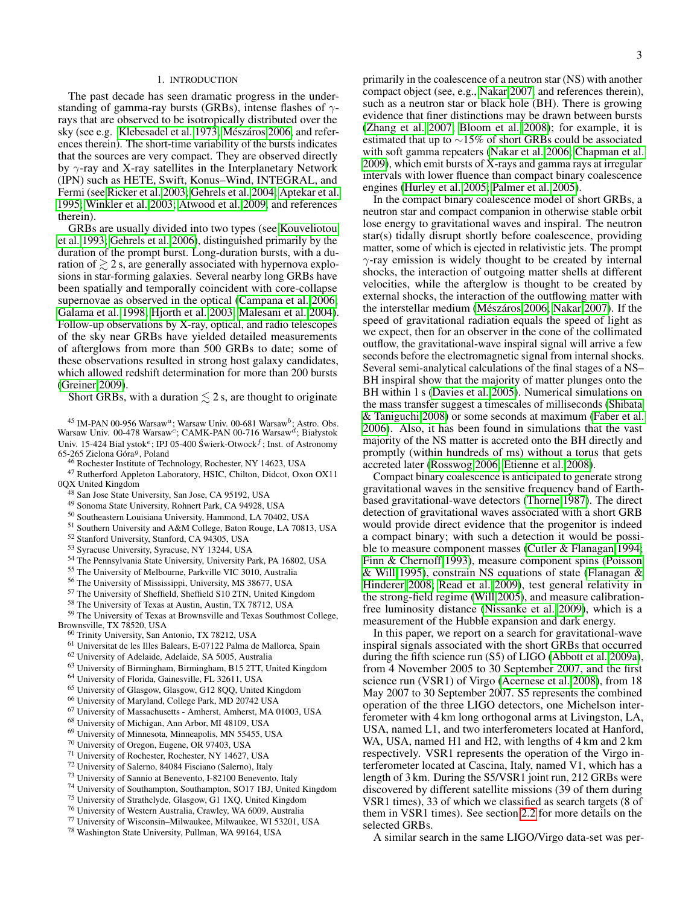### 1. INTRODUCTION

The past decade has seen dramatic progress in the understanding of gamma-ray bursts (GRBs), intense flashes of  $\gamma$ rays that are observed to be isotropically distributed over the sky (see e.g. [Klebesadel et al. 1973;](#page-7-0) Mészáros [2006,](#page-7-1) and references therein). The short-time variability of the bursts indicates that the sources are very compact. They are observed directly by  $\gamma$ -ray and X-ray satellites in the Interplanetary Network (IPN) such as HETE, Swift, Konus–Wind, INTEGRAL, and Fermi (see [Ricker et al. 2003;](#page-7-2) [Gehrels et al. 2004;](#page-7-3) [Aptekar et al.](#page-7-4) [1995;](#page-7-4) [Winkler et al. 2003;](#page-7-5) [Atwood et al. 2009,](#page-7-6) and references therein).

GRBs are usually divided into two types (see [Kouveliotou](#page-7-7) [et al. 1993;](#page-7-7) [Gehrels et al. 2006\)](#page-7-8), distinguished primarily by the duration of the prompt burst. Long-duration bursts, with a duration of  $\geq 2$  s, are generally associated with hypernova explosions in star-forming galaxies. Several nearby long GRBs have been spatially and temporally coincident with core-collapse supernovae as observed in the optical [\(Campana et al. 2006;](#page-7-9) [Galama et al. 1998;](#page-7-10) [Hjorth et al. 2003;](#page-7-11) [Malesani et al. 2004\)](#page-7-12). Follow-up observations by X-ray, optical, and radio telescopes of the sky near GRBs have yielded detailed measurements of afterglows from more than 500 GRBs to date; some of these observations resulted in strong host galaxy candidates, which allowed redshift determination for more than 200 bursts [\(Greiner 2009\)](#page-7-13).

Short GRBs, with a duration  $\leq 2$  s, are thought to originate

 $45$  IM-PAN 00-956 Warsaw<sup>a</sup>; Warsaw Univ. 00-681 Warsaw<sup>b</sup>; Astro. Obs. Warsaw Univ. 00-478 Warsaw<sup>c</sup>; CAMK-PAN 00-716 Warsaw<sup>d</sup>; Białystok Univ. 15-424 Bial ystok<sup>e</sup>; IPJ 05-400 Świerk-Otwock $^f$ ; Inst. of Astronomy 65-265 Zielona Góra<sup>g</sup>, Poland<br><sup>46</sup> Rochester Institute of Technology, Rochester, NY 14623, USA

<sup>47</sup> Rutherford Appleton Laboratory, HSIC, Chilton, Didcot, Oxon OX11 0QX United Kingdom

- <sup>48</sup> San Jose State University, San Jose, CA 95192, USA
- <sup>49</sup> Sonoma State University, Rohnert Park, CA 94928, USA
- <sup>50</sup> Southeastern Louisiana University, Hammond, LA 70402, USA
- <sup>51</sup> Southern University and A&M College, Baton Rouge, LA 70813, USA
- <sup>52</sup> Stanford University, Stanford, CA 94305, USA
- <sup>53</sup> Syracuse University, Syracuse, NY 13244, USA
- <sup>54</sup> The Pennsylvania State University, University Park, PA 16802, USA
- <sup>55</sup> The University of Melbourne, Parkville VIC 3010, Australia
- <sup>56</sup> The University of Mississippi, University, MS 38677, USA
- <sup>57</sup> The University of Sheffield, Sheffield S10 2TN, United Kingdom
- <sup>58</sup> The University of Texas at Austin, Austin, TX 78712, USA

<sup>59</sup> The University of Texas at Brownsville and Texas Southmost College,

- Brownsville, TX 78520, USA
	- <sup>60</sup> Trinity University, San Antonio, TX 78212, USA
	- <sup>61</sup> Universitat de les Illes Balears, E-07122 Palma de Mallorca, Spain
	- <sup>62</sup> University of Adelaide, Adelaide, SA 5005, Australia
	- <sup>63</sup> University of Birmingham, Birmingham, B15 2TT, United Kingdom <sup>64</sup> University of Florida, Gainesville, FL 32611, USA
	- <sup>65</sup> University of Glasgow, Glasgow, G12 8QQ, United Kingdom
	- <sup>66</sup> University of Maryland, College Park, MD 20742 USA
	- <sup>67</sup> University of Massachusetts Amherst, Amherst, MA 01003, USA
	- <sup>68</sup> University of Michigan, Ann Arbor, MI 48109, USA
	- <sup>69</sup> University of Minnesota, Minneapolis, MN 55455, USA
	- <sup>70</sup> University of Oregon, Eugene, OR 97403, USA
	- <sup>71</sup> University of Rochester, Rochester, NY 14627, USA
	- <sup>72</sup> University of Salerno, 84084 Fisciano (Salerno), Italy
	- <sup>73</sup> University of Sannio at Benevento, I-82100 Benevento, Italy
	- <sup>74</sup> University of Southampton, Southampton, SO17 1BJ, United Kingdom
	- <sup>75</sup> University of Strathclyde, Glasgow, G1 1XQ, United Kingdom
	- <sup>76</sup> University of Western Australia, Crawley, WA 6009, Australia
	- <sup>77</sup> University of Wisconsin–Milwaukee, Milwaukee, WI 53201, USA
	- <sup>78</sup> Washington State University, Pullman, WA 99164, USA

primarily in the coalescence of a neutron star (NS) with another compact object (see, e.g., [Nakar 2007,](#page-7-14) and references therein), such as a neutron star or black hole (BH). There is growing evidence that finer distinctions may be drawn between bursts [\(Zhang et al. 2007;](#page-7-15) [Bloom et al. 2008\)](#page-7-16); for example, it is estimated that up to ∼15% of short GRBs could be associated with soft gamma repeaters [\(Nakar et al. 2006;](#page-7-17) [Chapman et al.](#page-7-18) [2009\)](#page-7-18), which emit bursts of X-rays and gamma rays at irregular intervals with lower fluence than compact binary coalescence engines [\(Hurley et al. 2005;](#page-7-19) [Palmer et al. 2005\)](#page-7-20).

In the compact binary coalescence model of short GRBs, a neutron star and compact companion in otherwise stable orbit lose energy to gravitational waves and inspiral. The neutron star(s) tidally disrupt shortly before coalescence, providing matter, some of which is ejected in relativistic jets. The prompt γ-ray emission is widely thought to be created by internal shocks, the interaction of outgoing matter shells at different velocities, while the afterglow is thought to be created by external shocks, the interaction of the outflowing matter with the interstellar medium (Mészáros [2006;](#page-7-1) [Nakar 2007\)](#page-7-14). If the speed of gravitational radiation equals the speed of light as we expect, then for an observer in the cone of the collimated outflow, the gravitational-wave inspiral signal will arrive a few seconds before the electromagnetic signal from internal shocks. Several semi-analytical calculations of the final stages of a NS– BH inspiral show that the majority of matter plunges onto the BH within 1 s [\(Davies et al. 2005\)](#page-7-21). Numerical simulations on the mass transfer suggest a timescales of milliseconds [\(Shibata](#page-7-22) [& Taniguchi 2008\)](#page-7-22) or some seconds at maximum [\(Faber et al.](#page-7-23) [2006\)](#page-7-23). Also, it has been found in simulations that the vast majority of the NS matter is accreted onto the BH directly and promptly (within hundreds of ms) without a torus that gets accreted later [\(Rosswog 2006;](#page-7-24) [Etienne et al. 2008\)](#page-7-25).

Compact binary coalescence is anticipated to generate strong gravitational waves in the sensitive frequency band of Earthbased gravitational-wave detectors [\(Thorne 1987\)](#page-7-26). The direct detection of gravitational waves associated with a short GRB would provide direct evidence that the progenitor is indeed a compact binary; with such a detection it would be possible to measure component masses [\(Cutler & Flanagan 1994;](#page-7-27) [Finn & Chernoff 1993\)](#page-7-28), measure component spins [\(Poisson](#page-7-29) [& Will 1995\)](#page-7-29), constrain NS equations of state [\(Flanagan &](#page-7-30) [Hinderer 2008;](#page-7-30) [Read et al. 2009\)](#page-7-31), test general relativity in the strong-field regime [\(Will 2005\)](#page-7-32), and measure calibrationfree luminosity distance [\(Nissanke et al. 2009\)](#page-7-33), which is a measurement of the Hubble expansion and dark energy.

In this paper, we report on a search for gravitational-wave inspiral signals associated with the short GRBs that occurred during the fifth science run (S5) of LIGO [\(Abbott et al. 2009a\)](#page-7-34), from 4 November 2005 to 30 September 2007, and the first science run (VSR1) of Virgo [\(Acernese et al. 2008\)](#page-7-35), from 18 May 2007 to 30 September 2007. S5 represents the combined operation of the three LIGO detectors, one Michelson interferometer with 4 km long orthogonal arms at Livingston, LA, USA, named L1, and two interferometers located at Hanford, WA, USA, named H1 and H2, with lengths of 4 km and 2 km respectively. VSR1 represents the operation of the Virgo interferometer located at Cascina, Italy, named V1, which has a length of 3 km. During the S5/VSR1 joint run, 212 GRBs were discovered by different satellite missions (39 of them during VSR1 times), 33 of which we classified as search targets (8 of them in VSR1 times). See section [2.2](#page-3-0) for more details on the selected GRBs.

A similar search in the same LIGO/Virgo data-set was per-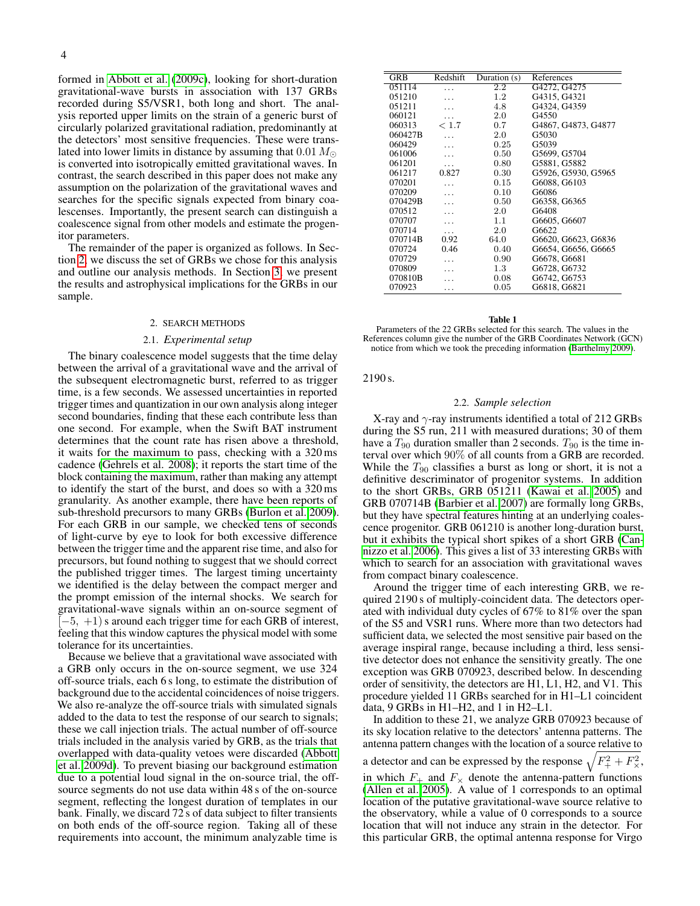formed in [Abbott et al.](#page-7-36) [\(2009c\)](#page-7-36), looking for short-duration gravitational-wave bursts in association with 137 GRBs recorded during S5/VSR1, both long and short. The analysis reported upper limits on the strain of a generic burst of circularly polarized gravitational radiation, predominantly at the detectors' most sensitive frequencies. These were translated into lower limits in distance by assuming that  $0.01 M_{\odot}$ is converted into isotropically emitted gravitational waves. In contrast, the search described in this paper does not make any assumption on the polarization of the gravitational waves and searches for the specific signals expected from binary coalescenses. Importantly, the present search can distinguish a coalescence signal from other models and estimate the progenitor parameters.

The remainder of the paper is organized as follows. In Section [2,](#page-3-1) we discuss the set of GRBs we chose for this analysis and outline our analysis methods. In Section [3,](#page-5-0) we present the results and astrophysical implications for the GRBs in our sample.

### 2. SEARCH METHODS

### 2.1. *Experimental setup*

<span id="page-3-1"></span>The binary coalescence model suggests that the time delay between the arrival of a gravitational wave and the arrival of the subsequent electromagnetic burst, referred to as trigger time, is a few seconds. We assessed uncertainties in reported trigger times and quantization in our own analysis along integer second boundaries, finding that these each contribute less than one second. For example, when the Swift BAT instrument determines that the count rate has risen above a threshold, it waits for the maximum to pass, checking with a 320 ms cadence [\(Gehrels et al. 2008\)](#page-7-37); it reports the start time of the block containing the maximum, rather than making any attempt to identify the start of the burst, and does so with a 320 ms granularity. As another example, there have been reports of sub-threshold precursors to many GRBs [\(Burlon et al. 2009\)](#page-7-38). For each GRB in our sample, we checked tens of seconds of light-curve by eye to look for both excessive difference between the trigger time and the apparent rise time, and also for precursors, but found nothing to suggest that we should correct the published trigger times. The largest timing uncertainty we identified is the delay between the compact merger and the prompt emission of the internal shocks. We search for gravitational-wave signals within an on-source segment of  $[-5, +1)$  s around each trigger time for each GRB of interest, feeling that this window captures the physical model with some tolerance for its uncertainties.

Because we believe that a gravitational wave associated with a GRB only occurs in the on-source segment, we use 324 off-source trials, each 6 s long, to estimate the distribution of background due to the accidental coincidences of noise triggers. We also re-analyze the off-source trials with simulated signals added to the data to test the response of our search to signals; these we call injection trials. The actual number of off-source trials included in the analysis varied by GRB, as the trials that overlapped with data-quality vetoes were discarded [\(Abbott](#page-7-39) [et al. 2009d\)](#page-7-39). To prevent biasing our background estimation due to a potential loud signal in the on-source trial, the offsource segments do not use data within 48 s of the on-source segment, reflecting the longest duration of templates in our bank. Finally, we discard 72 s of data subject to filter transients on both ends of the off-source region. Taking all of these requirements into account, the minimum analyzable time is

| <b>GRB</b> | Redshift | Duration (s) | References          |  |  |  |  |  |
|------------|----------|--------------|---------------------|--|--|--|--|--|
| 051114     |          | 2.2          | G4272, G4275        |  |  |  |  |  |
| 051210     |          | 1.2          | G4315, G4321        |  |  |  |  |  |
| 051211     |          | 4.8          | G4324, G4359        |  |  |  |  |  |
| 060121     | .        | 2.0          | G4550               |  |  |  |  |  |
| 060313     | < 1.7    | 0.7          | G4867, G4873, G4877 |  |  |  |  |  |
| 060427B    |          | 2.0          | G5030               |  |  |  |  |  |
| 060429     |          | 0.25         | G5039               |  |  |  |  |  |
| 061006     |          | 0.50         | G5699, G5704        |  |  |  |  |  |
| 061201     |          | 0.80         | G5881, G5882        |  |  |  |  |  |
| 061217     | 0.827    | 0.30         | G5926, G5930, G5965 |  |  |  |  |  |
| 070201     |          | 0.15         | G6088, G6103        |  |  |  |  |  |
| 070209     |          | 0.10         | G6086               |  |  |  |  |  |
| 070429B    |          | 0.50         | G6358, G6365        |  |  |  |  |  |
| 070512     |          | 2.0          | G6408               |  |  |  |  |  |
| 070707     |          | 1.1          | G6605, G6607        |  |  |  |  |  |
| 070714     | .        | 2.0          | G6622               |  |  |  |  |  |
| 070714B    | 0.92     | 64.0         | G6620, G6623, G6836 |  |  |  |  |  |
| 070724     | 0.46     | 0.40         | G6654, G6656, G6665 |  |  |  |  |  |
| 070729     |          | 0.90         | G6678, G6681        |  |  |  |  |  |
| 070809     |          | 1.3          | G6728, G6732        |  |  |  |  |  |
| 070810B    |          | 0.08         | G6742, G6753        |  |  |  |  |  |
| 070923     | .        | 0.05         | G6818, G6821        |  |  |  |  |  |
|            |          |              |                     |  |  |  |  |  |

#### Table 1

<span id="page-3-2"></span>Parameters of the 22 GRBs selected for this search. The values in the References column give the number of the GRB Coordinates Network (GCN) notice from which we took the preceding information [\(Barthelmy 2009\)](#page-7-40).

# 2190 s.

# 2.2. *Sample selection*

<span id="page-3-0"></span>X-ray and  $\gamma$ -ray instruments identified a total of 212 GRBs during the S5 run, 211 with measured durations; 30 of them have a  $T_{90}$  duration smaller than 2 seconds.  $T_{90}$  is the time interval over which 90% of all counts from a GRB are recorded. While the  $T_{90}$  classifies a burst as long or short, it is not a definitive descriminator of progenitor systems. In addition to the short GRBs, GRB 051211 [\(Kawai et al. 2005\)](#page-7-41) and GRB 070714B [\(Barbier et al. 2007\)](#page-7-42) are formally long GRBs, but they have spectral features hinting at an underlying coalescence progenitor. GRB 061210 is another long-duration burst, but it exhibits the typical short spikes of a short GRB [\(Can](#page-7-43)[nizzo et al. 2006\)](#page-7-43). This gives a list of 33 interesting GRBs with which to search for an association with gravitational waves from compact binary coalescence.

Around the trigger time of each interesting GRB, we required 2190 s of multiply-coincident data. The detectors operated with individual duty cycles of 67% to 81% over the span of the S5 and VSR1 runs. Where more than two detectors had sufficient data, we selected the most sensitive pair based on the average inspiral range, because including a third, less sensitive detector does not enhance the sensitivity greatly. The one exception was GRB 070923, described below. In descending order of sensitivity, the detectors are H1, L1, H2, and V1. This procedure yielded 11 GRBs searched for in H1–L1 coincident data, 9 GRBs in H1–H2, and 1 in H2–L1.

In addition to these 21, we analyze GRB 070923 because of its sky location relative to the detectors' antenna patterns. The antenna pattern changes with the location of a source relative to

a detector and can be expressed by the response  $\sqrt{F_+^2 + F_\times^2}$ , in which  $F_+$  and  $F_\times$  denote the antenna-pattern functions [\(Allen et al. 2005\)](#page-7-44). A value of 1 corresponds to an optimal location of the putative gravitational-wave source relative to the observatory, while a value of 0 corresponds to a source location that will not induce any strain in the detector. For this particular GRB, the optimal antenna response for Virgo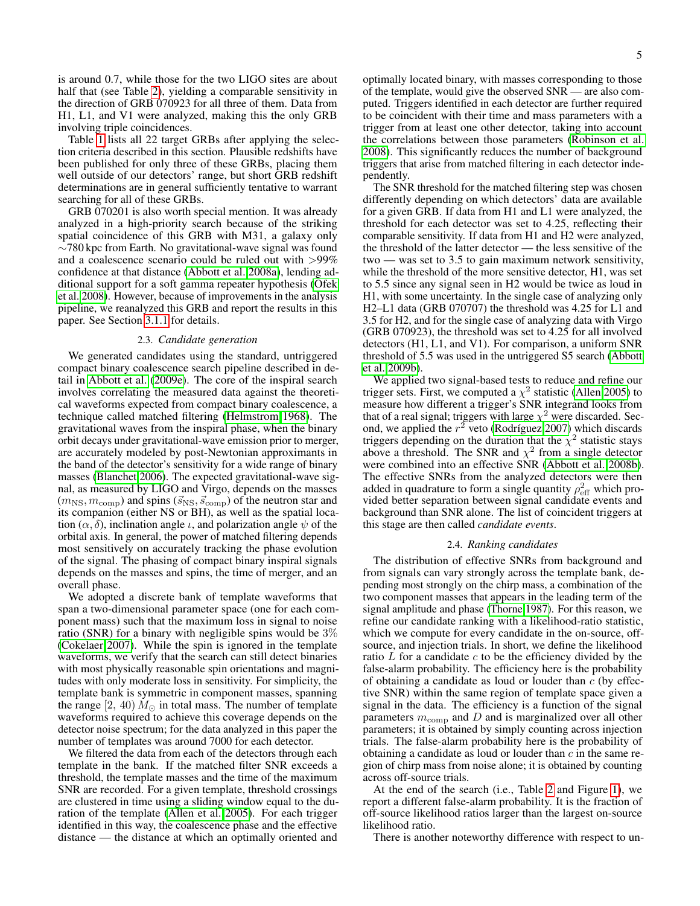is around 0.7, while those for the two LIGO sites are about half that (see Table [2\)](#page-5-1), yielding a comparable sensitivity in the direction of GRB 070923 for all three of them. Data from H1, L1, and V1 were analyzed, making this the only GRB involving triple coincidences.

Table [1](#page-3-2) lists all 22 target GRBs after applying the selection criteria described in this section. Plausible redshifts have been published for only three of these GRBs, placing them well outside of our detectors' range, but short GRB redshift determinations are in general sufficiently tentative to warrant searching for all of these GRBs.

GRB 070201 is also worth special mention. It was already analyzed in a high-priority search because of the striking spatial coincidence of this GRB with M31, a galaxy only ∼780 kpc from Earth. No gravitational-wave signal was found and a coalescence scenario could be ruled out with >99% confidence at that distance [\(Abbott et al. 2008a\)](#page-7-45), lending additional support for a soft gamma repeater hypothesis [\(Ofek](#page-7-46) [et al. 2008\)](#page-7-46). However, because of improvements in the analysis pipeline, we reanalyzed this GRB and report the results in this paper. See Section [3.1.1](#page-5-2) for details.

### 2.3. *Candidate generation*

We generated candidates using the standard, untriggered compact binary coalescence search pipeline described in detail in [Abbott et al.](#page-7-47) [\(2009e\)](#page-7-47). The core of the inspiral search involves correlating the measured data against the theoretical waveforms expected from compact binary coalescence, a technique called matched filtering [\(Helmstrom 1968\)](#page-7-48). The gravitational waves from the inspiral phase, when the binary orbit decays under gravitational-wave emission prior to merger, are accurately modeled by post-Newtonian approximants in the band of the detector's sensitivity for a wide range of binary masses [\(Blanchet 2006\)](#page-7-49). The expected gravitational-wave signal, as measured by LIGO and Virgo, depends on the masses  $(m_{\rm NS}, m_{\rm comp})$  and spins  $(\vec{s}_{\rm NS}, \vec{s}_{\rm comp})$  of the neutron star and its companion (either NS or BH), as well as the spatial location  $(\alpha, \delta)$ , inclination angle  $\iota$ , and polarization angle  $\psi$  of the orbital axis. In general, the power of matched filtering depends most sensitively on accurately tracking the phase evolution of the signal. The phasing of compact binary inspiral signals depends on the masses and spins, the time of merger, and an overall phase.

We adopted a discrete bank of template waveforms that span a two-dimensional parameter space (one for each component mass) such that the maximum loss in signal to noise ratio (SNR) for a binary with negligible spins would be 3% [\(Cokelaer 2007\)](#page-7-50). While the spin is ignored in the template waveforms, we verify that the search can still detect binaries with most physically reasonable spin orientations and magnitudes with only moderate loss in sensitivity. For simplicity, the template bank is symmetric in component masses, spanning the range  $(2, 40) M_{\odot}$  in total mass. The number of template waveforms required to achieve this coverage depends on the detector noise spectrum; for the data analyzed in this paper the number of templates was around 7000 for each detector.

We filtered the data from each of the detectors through each template in the bank. If the matched filter SNR exceeds a threshold, the template masses and the time of the maximum SNR are recorded. For a given template, threshold crossings are clustered in time using a sliding window equal to the duration of the template [\(Allen et al. 2005\)](#page-7-44). For each trigger identified in this way, the coalescence phase and the effective distance — the distance at which an optimally oriented and

optimally located binary, with masses corresponding to those of the template, would give the observed SNR — are also computed. Triggers identified in each detector are further required to be coincident with their time and mass parameters with a trigger from at least one other detector, taking into account the correlations between those parameters [\(Robinson et al.](#page-7-51) [2008\)](#page-7-51). This significantly reduces the number of background triggers that arise from matched filtering in each detector independently.

The SNR threshold for the matched filtering step was chosen differently depending on which detectors' data are available for a given GRB. If data from H1 and L1 were analyzed, the threshold for each detector was set to 4.25, reflecting their comparable sensitivity. If data from H1 and H2 were analyzed, the threshold of the latter detector — the less sensitive of the two — was set to 3.5 to gain maximum network sensitivity, while the threshold of the more sensitive detector, H1, was set to 5.5 since any signal seen in H2 would be twice as loud in H1, with some uncertainty. In the single case of analyzing only H2–L1 data (GRB 070707) the threshold was 4.25 for L1 and 3.5 for H2, and for the single case of analyzing data with Virgo (GRB 070923), the threshold was set to 4.25 for all involved detectors (H1, L1, and V1). For comparison, a uniform SNR threshold of 5.5 was used in the untriggered S5 search [\(Abbott](#page-7-52) [et al. 2009b\)](#page-7-52).

We applied two signal-based tests to reduce and refine our trigger sets. First, we computed a  $\chi^2$  statistic [\(Allen 2005\)](#page-7-53) to measure how different a trigger's SNR integrand looks from that of a real signal; triggers with large  $\chi^2$  were discarded. Second, we applied the  $r^2$  veto (Rodríguez 2007) which discards triggers depending on the duration that the  $\chi^2$  statistic stays above a threshold. The SNR and  $\chi^2$  from a single detector were combined into an effective SNR [\(Abbott et al. 2008b\)](#page-7-55). The effective SNRs from the analyzed detectors were then added in quadrature to form a single quantity  $\rho_{\text{eff}}^2$  which provided better separation between signal candidate events and background than SNR alone. The list of coincident triggers at this stage are then called *candidate events*.

### 2.4. *Ranking candidates*

<span id="page-4-0"></span>The distribution of effective SNRs from background and from signals can vary strongly across the template bank, depending most strongly on the chirp mass, a combination of the two component masses that appears in the leading term of the signal amplitude and phase [\(Thorne 1987\)](#page-7-26). For this reason, we refine our candidate ranking with a likelihood-ratio statistic, which we compute for every candidate in the on-source, offsource, and injection trials. In short, we define the likelihood ratio  $L$  for a candidate  $c$  to be the efficiency divided by the false-alarm probability. The efficiency here is the probability of obtaining a candidate as loud or louder than  $c$  (by effective SNR) within the same region of template space given a signal in the data. The efficiency is a function of the signal parameters  $m_{\text{comp}}$  and D and is marginalized over all other parameters; it is obtained by simply counting across injection trials. The false-alarm probability here is the probability of obtaining a candidate as loud or louder than  $c$  in the same region of chirp mass from noise alone; it is obtained by counting across off-source trials.

At the end of the search (i.e., Table [2](#page-5-1) and Figure [1\)](#page-5-3), we report a different false-alarm probability. It is the fraction of off-source likelihood ratios larger than the largest on-source likelihood ratio.

There is another noteworthy difference with respect to un-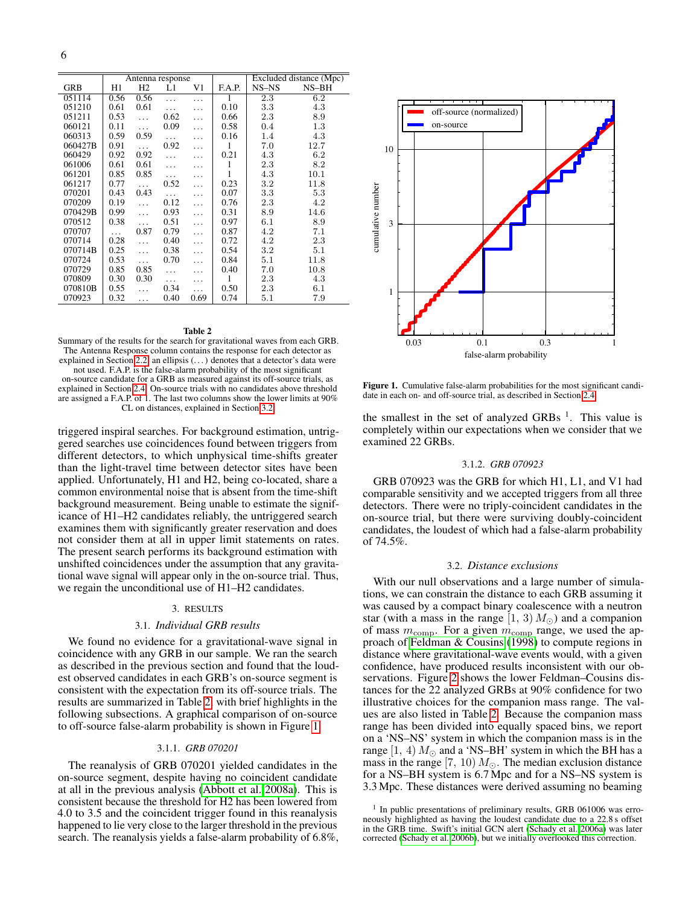|            | Antenna response |                |          |          |        | Excluded distance (Mpc) |         |  |
|------------|------------------|----------------|----------|----------|--------|-------------------------|---------|--|
| <b>GRB</b> | H1               | H <sub>2</sub> | L1       | V1       | F.A.P. | $NS-NS$                 | $NS-BH$ |  |
| 051114     | 0.56             | 0.56           | $\cdots$ | .        | 1      | 2.3                     | 6.2     |  |
| 051210     | 0.61             | 0.61           | $\cdots$ | .        | 0.10   | 3.3                     | 4.3     |  |
| 051211     | 0.53             | $\cdots$       | 0.62     | .        | 0.66   | 2.3                     | 8.9     |  |
| 060121     | 0.11             | .              | 0.09     | .        | 0.58   | 0.4                     | $1.3\,$ |  |
| 060313     | 0.59             | 0.59           |          | .        | 0.16   | 1.4                     | 4.3     |  |
| 060427B    | 0.91             | $\cdots$       | 0.92     | .        | 1      | 7.0                     | 12.7    |  |
| 060429     | 0.92             | 0.92           | .        | .        | 0.21   | 4.3                     | 6.2     |  |
| 061006     | 0.61             | 0.61           | .        | .        | 1      | 2.3                     | 8.2     |  |
| 061201     | 0.85             | 0.85           | $\cdots$ | .        | 1      | 4.3                     | 10.1    |  |
| 061217     | 0.77             | .              | 0.52     | .        | 0.23   | $3.2\,$                 | 11.8    |  |
| 070201     | 0.43             | 0.43           | $\cdots$ | .        | 0.07   | 3.3                     | 5.3     |  |
| 070209     | 0.19             | .              | 0.12     | .        | 0.76   | 2.3                     | 4.2     |  |
| 070429B    | 0.99             | .              | 0.93     | .        | 0.31   | 8.9                     | 14.6    |  |
| 070512     | 0.38             | .              | 0.51     | .        | 0.97   | 6.1                     | 8.9     |  |
| 070707     | .                | 0.87           | 0.79     | $\cdots$ | 0.87   | 4.2                     | 7.1     |  |
| 070714     | 0.28             | $\cdots$       | 0.40     | .        | 0.72   | 4.2                     | 2.3     |  |
| 070714B    | 0.25             | $\cdots$       | 0.38     | .        | 0.54   | 3.2                     | 5.1     |  |
| 070724     | 0.53             | .              | 0.70     | .        | 0.84   | 5.1                     | 11.8    |  |
| 070729     | 0.85             | 0.85           | .        | .        | 0.40   | 7.0                     | 10.8    |  |
| 070809     | 0.30             | 0.30           | $\cdots$ | .        | 1      | 2.3                     | 4.3     |  |
| 070810B    | 0.55             | .              | 0.34     | .        | 0.50   | 2.3                     | 6.1     |  |
| 070923     | 0.32             | .              | 0.40     | 0.69     | 0.74   | 5.1                     | 7.9     |  |

# Table 2

<span id="page-5-1"></span>Summary of the results for the search for gravitational waves from each GRB. The Antenna Response column contains the response for each detector as explained in Section [2.2;](#page-3-0) an ellipsis (. . . ) denotes that a detector's data were not used. F.A.P. is the false-alarm probability of the most significant

on-source candidate for a GRB as measured against its off-source trials, as explained in Section [2.4.](#page-4-0) On-source trials with no candidates above threshold are assigned a F.A.P. of 1. The last two columns show the lower limits at 90% CL on distances, explained in Section [3.2.](#page-5-4)

triggered inspiral searches. For background estimation, untriggered searches use coincidences found between triggers from different detectors, to which unphysical time-shifts greater than the light-travel time between detector sites have been applied. Unfortunately, H1 and H2, being co-located, share a common environmental noise that is absent from the time-shift background measurement. Being unable to estimate the significance of H1–H2 candidates reliably, the untriggered search examines them with significantly greater reservation and does not consider them at all in upper limit statements on rates. The present search performs its background estimation with unshifted coincidences under the assumption that any gravitational wave signal will appear only in the on-source trial. Thus, we regain the unconditional use of H1–H2 candidates.

### 3. RESULTS

### 3.1. *Individual GRB results*

<span id="page-5-0"></span>We found no evidence for a gravitational-wave signal in coincidence with any GRB in our sample. We ran the search as described in the previous section and found that the loudest observed candidates in each GRB's on-source segment is consistent with the expectation from its off-source trials. The results are summarized in Table [2,](#page-5-1) with brief highlights in the following subsections. A graphical comparison of on-source to off-source false-alarm probability is shown in Figure [1.](#page-5-3)

### 3.1.1. *GRB 070201*

<span id="page-5-2"></span>The reanalysis of GRB 070201 yielded candidates in the on-source segment, despite having no coincident candidate at all in the previous analysis [\(Abbott et al. 2008a\)](#page-7-45). This is consistent because the threshold for H2 has been lowered from 4.0 to 3.5 and the coincident trigger found in this reanalysis happened to lie very close to the larger threshold in the previous search. The reanalysis yields a false-alarm probability of 6.8%,



<span id="page-5-3"></span>Figure 1. Cumulative false-alarm probabilities for the most significant candidate in each on- and off-source trial, as described in Section [2.4.](#page-4-0)

the smallest in the set of analyzed GRBs  $<sup>1</sup>$ . This value is</sup> completely within our expectations when we consider that we examined 22 GRBs.

### 3.1.2. *GRB 070923*

GRB 070923 was the GRB for which H1, L1, and V1 had comparable sensitivity and we accepted triggers from all three detectors. There were no triply-coincident candidates in the on-source trial, but there were surviving doubly-coincident candidates, the loudest of which had a false-alarm probability of 74.5%.

## 3.2. *Distance exclusions*

<span id="page-5-4"></span>With our null observations and a large number of simulations, we can constrain the distance to each GRB assuming it was caused by a compact binary coalescence with a neutron star (with a mass in the range  $(1, 3) M_{\odot}$ ) and a companion of mass  $m_{\text{comp}}$ . For a given  $m_{\text{comp}}$  range, we used the approach of [Feldman & Cousins](#page-7-56) [\(1998\)](#page-7-56) to compute regions in distance where gravitational-wave events would, with a given confidence, have produced results inconsistent with our observations. Figure [2](#page-6-0) shows the lower Feldman–Cousins distances for the 22 analyzed GRBs at 90% confidence for two illustrative choices for the companion mass range. The values are also listed in Table [2.](#page-5-1) Because the companion mass range has been divided into equally spaced bins, we report on a 'NS–NS' system in which the companion mass is in the range  $(1, 4)$   $M_{\odot}$  and a 'NS–BH' system in which the BH has a mass in the range [7, 10)  $M_{\odot}$ . The median exclusion distance for a NS–BH system is 6.7 Mpc and for a NS–NS system is 3.3 Mpc. These distances were derived assuming no beaming

<sup>1</sup> In public presentations of preliminary results, GRB 061006 was erroneously highlighted as having the loudest candidate due to a 22.8 s offset in the GRB time. Swift's initial GCN alert [\(Schady et al. 2006a\)](#page-7-57) was later corrected [\(Schady et al. 2006b\)](#page-7-58), but we initially overlooked this correction.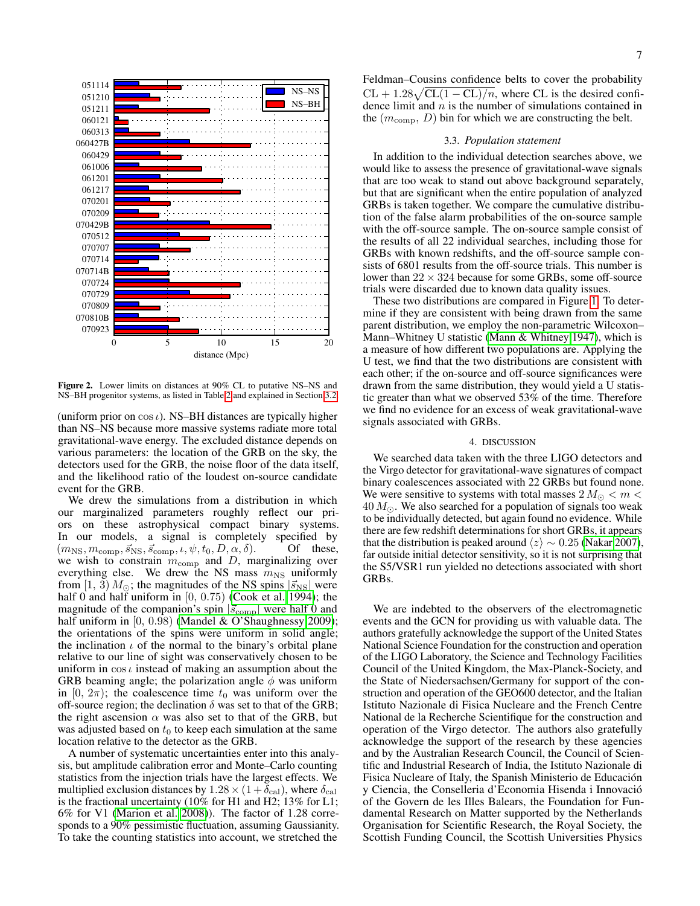

<span id="page-6-0"></span>Figure 2. Lower limits on distances at 90% CL to putative NS–NS and NS–BH progenitor systems, as listed in Table [2](#page-5-1) and explained in Section [3.2.](#page-5-4)

(uniform prior on  $\cos \iota$ ). NS–BH distances are typically higher than NS–NS because more massive systems radiate more total gravitational-wave energy. The excluded distance depends on various parameters: the location of the GRB on the sky, the detectors used for the GRB, the noise floor of the data itself, and the likelihood ratio of the loudest on-source candidate event for the GRB.

We drew the simulations from a distribution in which our marginalized parameters roughly reflect our priors on these astrophysical compact binary systems. In our models, a signal is completely specified by  $(m_{\text{NS}}, m_{\text{comm}}, \vec{s}_{\text{NS}}, \vec{s}_{\text{comp}}, \iota, \psi, t_0, D, \alpha, \delta)$ . Of these,  $(m_{\text{NS}}, m_{\text{comp}}, \vec{s}_{\text{NS}}, \vec{s}_{\text{comp}}, \iota, \psi, t_0, D, \alpha, \delta).$ we wish to constrain  $m_{\text{comp}}$  and D, marginalizing over everything else. We drew the NS mass  $m_{\text{NS}}$  uniformly from [1, 3)  $M_{\odot}$ ; the magnitudes of the NS spins  $|\vec{s}_{\text{NS}}|$  were half 0 and half uniform in  $[0, 0.75)$  [\(Cook et al. 1994\)](#page-7-59); the magnitude of the companion's spin  $|\vec{s}_{\text{comp}}|$  were half 0 and half uniform in  $[0, 0.98)$  [\(Mandel & O'Shaughnessy 2009\)](#page-7-60); the orientations of the spins were uniform in solid angle; the inclination  $\iota$  of the normal to the binary's orbital plane relative to our line of sight was conservatively chosen to be uniform in  $\cos t$  instead of making an assumption about the GRB beaming angle; the polarization angle  $\phi$  was uniform in [0,  $2\pi$ ); the coalescence time  $t_0$  was uniform over the off-source region; the declination  $\delta$  was set to that of the GRB; the right ascension  $\alpha$  was also set to that of the GRB, but was adjusted based on  $t_0$  to keep each simulation at the same location relative to the detector as the GRB.

A number of systematic uncertainties enter into this analysis, but amplitude calibration error and Monte–Carlo counting statistics from the injection trials have the largest effects. We multiplied exclusion distances by  $1.28 \times (1 + \delta_{\text{cal}})$ , where  $\delta_{\text{cal}}$ is the fractional uncertainty (10% for H1 and H2; 13% for L1; 6% for V1 [\(Marion et al. 2008\)](#page-7-61)). The factor of 1.28 corresponds to a 90% pessimistic fluctuation, assuming Gaussianity. To take the counting statistics into account, we stretched the

Feldman–Cousins confidence belts to cover the probability  $CL + 1.28\sqrt{CL(1 - CL)/n}$ , where CL is the desired confidence limit and  $n$  is the number of simulations contained in the  $(m_{\text{comp}}, D)$  bin for which we are constructing the belt.

## 3.3. *Population statement*

In addition to the individual detection searches above, we would like to assess the presence of gravitational-wave signals that are too weak to stand out above background separately, but that are significant when the entire population of analyzed GRBs is taken together. We compare the cumulative distribution of the false alarm probabilities of the on-source sample with the off-source sample. The on-source sample consist of the results of all 22 individual searches, including those for GRBs with known redshifts, and the off-source sample consists of 6801 results from the off-source trials. This number is lower than  $22 \times 324$  because for some GRBs, some off-source trials were discarded due to known data quality issues.

These two distributions are compared in Figure [1.](#page-5-3) To determine if they are consistent with being drawn from the same parent distribution, we employ the non-parametric Wilcoxon– Mann–Whitney U statistic [\(Mann & Whitney 1947\)](#page-7-62), which is a measure of how different two populations are. Applying the U test, we find that the two distributions are consistent with each other; if the on-source and off-source significances were drawn from the same distribution, they would yield a U statistic greater than what we observed 53% of the time. Therefore we find no evidence for an excess of weak gravitational-wave signals associated with GRBs.

### 4. DISCUSSION

We searched data taken with the three LIGO detectors and the Virgo detector for gravitational-wave signatures of compact binary coalescences associated with 22 GRBs but found none. We were sensitive to systems with total masses  $2 M_{\odot} < m <$  $40 M_{\odot}$ . We also searched for a population of signals too weak to be individually detected, but again found no evidence. While there are few redshift determinations for short GRBs, it appears that the distribution is peaked around  $\langle z \rangle \sim 0.25$  [\(Nakar 2007\)](#page-7-14), far outside initial detector sensitivity, so it is not surprising that the S5/VSR1 run yielded no detections associated with short GRBs.

We are indebted to the observers of the electromagnetic events and the GCN for providing us with valuable data. The authors gratefully acknowledge the support of the United States National Science Foundation for the construction and operation of the LIGO Laboratory, the Science and Technology Facilities Council of the United Kingdom, the Max-Planck-Society, and the State of Niedersachsen/Germany for support of the construction and operation of the GEO600 detector, and the Italian Istituto Nazionale di Fisica Nucleare and the French Centre National de la Recherche Scientifique for the construction and operation of the Virgo detector. The authors also gratefully acknowledge the support of the research by these agencies and by the Australian Research Council, the Council of Scientific and Industrial Research of India, the Istituto Nazionale di Fisica Nucleare of Italy, the Spanish Ministerio de Educacion´ y Ciencia, the Conselleria d'Economia Hisenda i Innovacio´ of the Govern de les Illes Balears, the Foundation for Fundamental Research on Matter supported by the Netherlands Organisation for Scientific Research, the Royal Society, the Scottish Funding Council, the Scottish Universities Physics